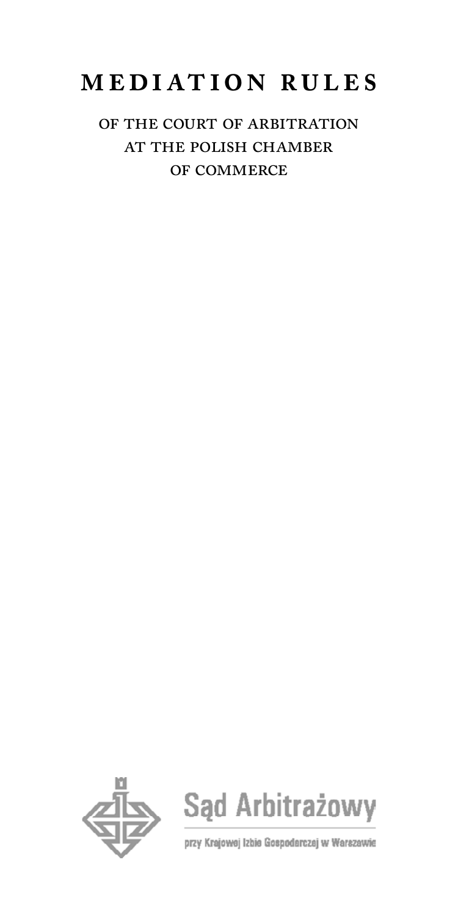# **mediation rules**

# of the court of arbitration at the polish chamber of commerce



Sąd Arbitrażowy

przy Krajowej Izbie Gospodarczej w Warszawie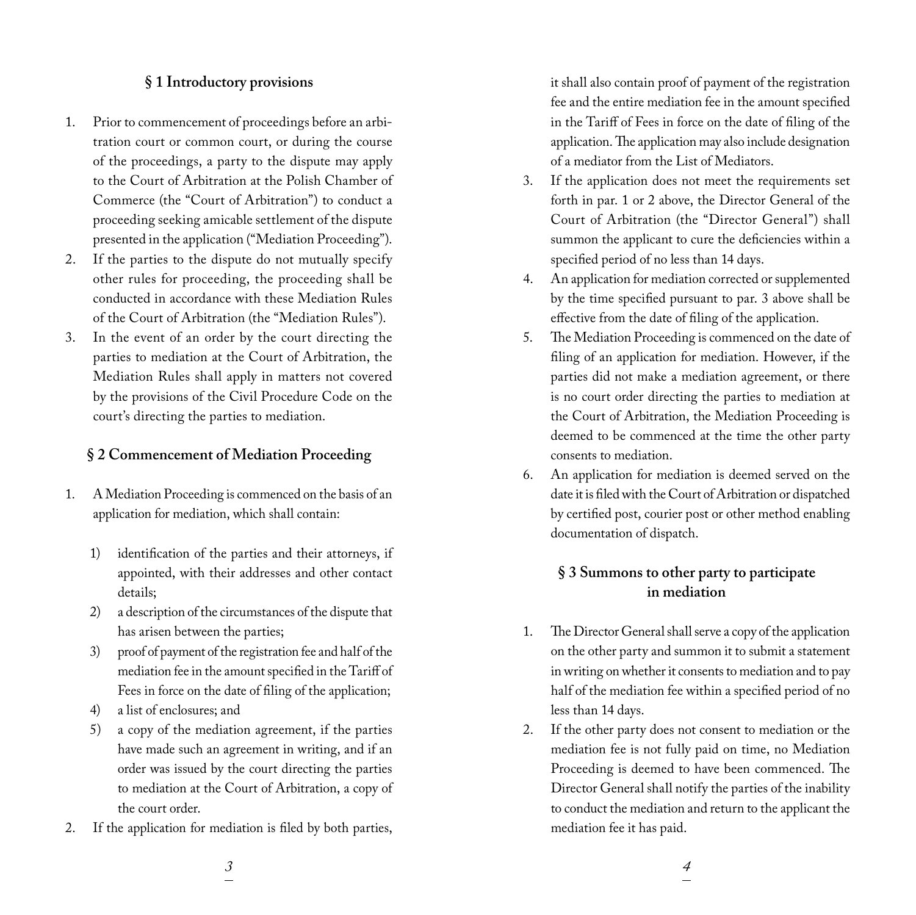## **§ 1 Introductory provisions**

- 1. Prior to commencement of proceedings before an arbitration court or common court, or during the course of the proceedings, a party to the dispute may apply to the Court of Arbitration at the Polish Chamber of Commerce (the "Court of Arbitration") to conduct a proceeding seeking amicable settlement of the dispute presented in the application ("Mediation Proceeding").
- 2. If the parties to the dispute do not mutually specify other rules for proceeding, the proceeding shall be conducted in accordance with these Mediation Rules of the Court of Arbitration (the "Mediation Rules").
- 3. In the event of an order by the court directing the parties to mediation at the Court of Arbitration, the Mediation Rules shall apply in matters not covered by the provisions of the Civil Procedure Code on the court's directing the parties to mediation.

#### **§ 2 Commencement of Mediation Proceeding**

- 1. A Mediation Proceeding is commenced on the basis of an application for mediation, which shall contain:
	- 1) identification of the parties and their attorneys, if appointed, with their addresses and other contact details;
	- 2) a description of the circumstances of the dispute that has arisen between the parties;
	- 3) proof of payment of the registration fee and half of the mediation fee in the amount specified in the Tariff of Fees in force on the date of filing of the application;
	- 4) a list of enclosures; and
	- 5) a copy of the mediation agreement, if the parties have made such an agreement in writing, and if an order was issued by the court directing the parties to mediation at the Court of Arbitration, a copy of the court order.
- 2. If the application for mediation is filed by both parties,

it shall also contain proof of payment of the registration fee and the entire mediation fee in the amount specified in the Tariff of Fees in force on the date of filing of the application. The application may also include designation of a mediator from the List of Mediators.

- 3. If the application does not meet the requirements set forth in par. 1 or 2 above, the Director General of the Court of Arbitration (the "Director General") shall summon the applicant to cure the deficiencies within a specified period of no less than 14 days.
- 4. An application for mediation corrected or supplemented by the time specified pursuant to par. 3 above shall be effective from the date of filing of the application.
- 5. The Mediation Proceeding is commenced on the date of filing of an application for mediation. However, if the parties did not make a mediation agreement, or there is no court order directing the parties to mediation at the Court of Arbitration, the Mediation Proceeding is deemed to be commenced at the time the other party consents to mediation.
- 6. An application for mediation is deemed served on the date it is filed with the Court of Arbitration or dispatched by certified post, courier post or other method enabling documentation of dispatch.

# **§ 3 Summons to other party to participate in mediation**

- 1. The Director General shall serve a copy of the application on the other party and summon it to submit a statement in writing on whether it consents to mediation and to pay half of the mediation fee within a specified period of no less than 14 days.
- 2. If the other party does not consent to mediation or the mediation fee is not fully paid on time, no Mediation Proceeding is deemed to have been commenced. The Director General shall notify the parties of the inability to conduct the mediation and return to the applicant the mediation fee it has paid.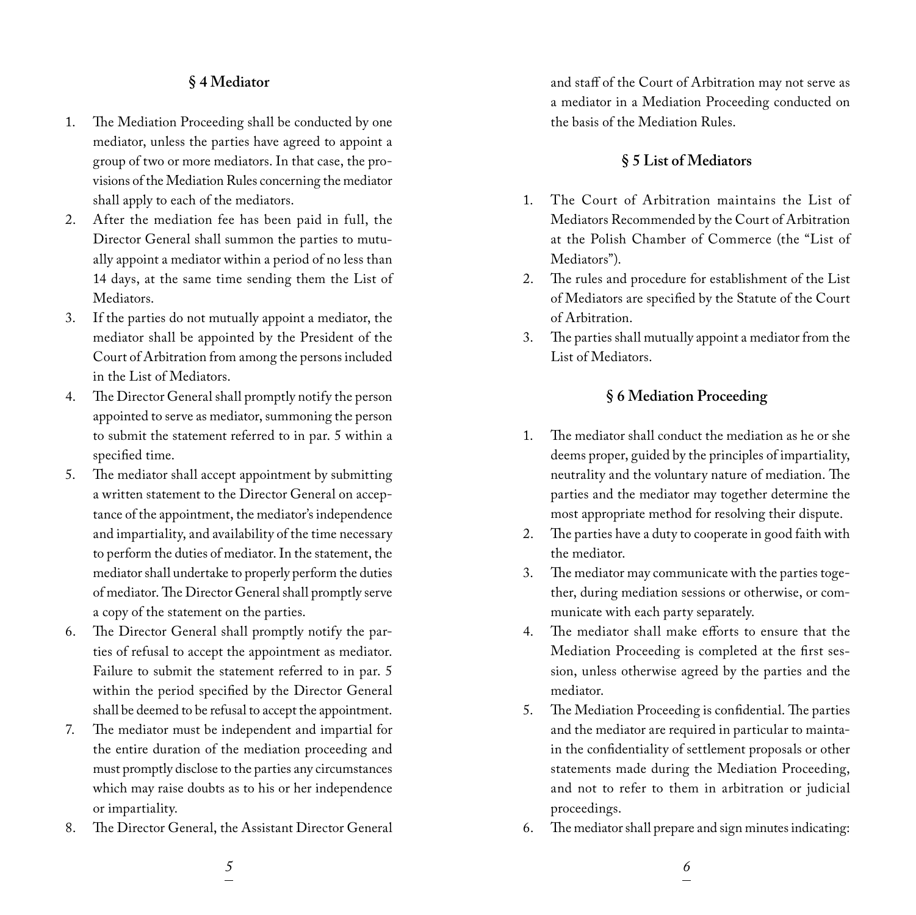# **§ 4 Mediator**

- 1. The Mediation Proceeding shall be conducted by one mediator, unless the parties have agreed to appoint a group of two or more mediators. In that case, the provisions of the Mediation Rules concerning the mediator shall apply to each of the mediators.
- 2. After the mediation fee has been paid in full, the Director General shall summon the parties to mutually appoint a mediator within a period of no less than 14 days, at the same time sending them the List of Mediators.
- 3. If the parties do not mutually appoint a mediator, the mediator shall be appointed by the President of the Court of Arbitration from among the persons included in the List of Mediators.
- 4. The Director General shall promptly notify the person appointed to serve as mediator, summoning the person to submit the statement referred to in par. 5 within a specified time.
- 5. The mediator shall accept appointment by submitting a written statement to the Director General on acceptance of the appointment, the mediator's independence and impartiality, and availability of the time necessary to perform the duties of mediator. In the statement, the mediator shall undertake to properly perform the duties of mediator. The Director General shall promptly serve a copy of the statement on the parties.
- 6. The Director General shall promptly notify the parties of refusal to accept the appointment as mediator. Failure to submit the statement referred to in par. 5 within the period specified by the Director General shall be deemed to be refusal to accept the appointment.
- 7. The mediator must be independent and impartial for the entire duration of the mediation proceeding and must promptly disclose to the parties any circumstances which may raise doubts as to his or her independence or impartiality.
- 8. The Director General, the Assistant Director General

and staff of the Court of Arbitration may not serve as a mediator in a Mediation Proceeding conducted on the basis of the Mediation Rules.

#### **§ 5 List of Mediators**

- 1. The Court of Arbitration maintains the List of Mediators Recommended by the Court of Arbitration at the Polish Chamber of Commerce (the "List of Mediators").
- 2. The rules and procedure for establishment of the List of Mediators are specified by the Statute of the Court of Arbitration.
- 3. The parties shall mutually appoint a mediator from the List of Mediators.

#### **§ 6 Mediation Proceeding**

- 1. The mediator shall conduct the mediation as he or she deems proper, guided by the principles of impartiality, neutrality and the voluntary nature of mediation. The parties and the mediator may together determine the most appropriate method for resolving their dispute.
- 2. The parties have a duty to cooperate in good faith with the mediator.
- 3. The mediator may communicate with the parties together, during mediation sessions or otherwise, or communicate with each party separately.
- 4. The mediator shall make efforts to ensure that the Mediation Proceeding is completed at the first session, unless otherwise agreed by the parties and the mediator.
- 5. The Mediation Proceeding is confidential. The parties and the mediator are required in particular to maintain the confidentiality of settlement proposals or other statements made during the Mediation Proceeding, and not to refer to them in arbitration or judicial proceedings.
- 6. The mediator shall prepare and sign minutes indicating: